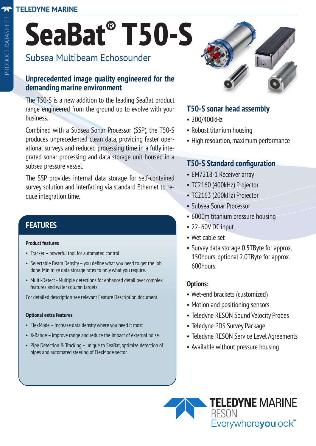# **SeaBat® T50-S**

# Subsea Multibeam Echosounder

#### **Unprecedented image quality engineered for the demanding marine environment**

The T50-S is a new addition to the leading SeaBat product range engineered from the ground up to evolve with your business.

Combined with a Subsea Sonar Processor (SSP), the T50-S produces unprecedented clean data, providing faster operational surveys and reduced processing time in a fully integrated sonar processing and data storage unit housed in a subsea pressure vessel.

The SSP provides internal data storage for self-contained survey solution and interfacing via standard Ethernet to reduce integration time.

## **FEATURES**

#### **Product features**

- Tracker powerful tool for automated control
- Selectable Beam Density you define what you need to get the job done. Minimize data storage rates to only what you require.
- Multi-Detect Multiple detections for enhanced detail over complex features and water column targets.

For detailed description see relevant Feature Description document

#### **Optional extra features**

- FlexMode increase data density where you need it most
- X-Range improve range and reduce the impact of external noise
- Pipe Detection & Tracking unique to SeaBat, optimize detection of pipes and automated steering of FlexMode sector.



#### **T50-S sonar head assembly**

- 200/400kHz
- Robust titanium housing
- High resolution, maximum performance

#### **T50-S Standard configuration**

- EM7218-1 Receiver array
- TC2160 (400kHz) Projector
- TC2163 (200kHz) Projector
- Subsea Sonar Processor
- 6000m titanium pressure housing
- 22- 60V DC input
- Wet cable set
- Survey data storage 0.5TByte for approx. 150hours, optional 2.0TByte for approx. 600hours.

#### **Options:**

- Wet-end brackets (customized)
- Motion and positioning sensors
- Teledyne RESON Sound Velocity Probes
- Teledyne PDS Survey Package
- Teledyne RESON Service Level Agreements
- Available without pressure housing